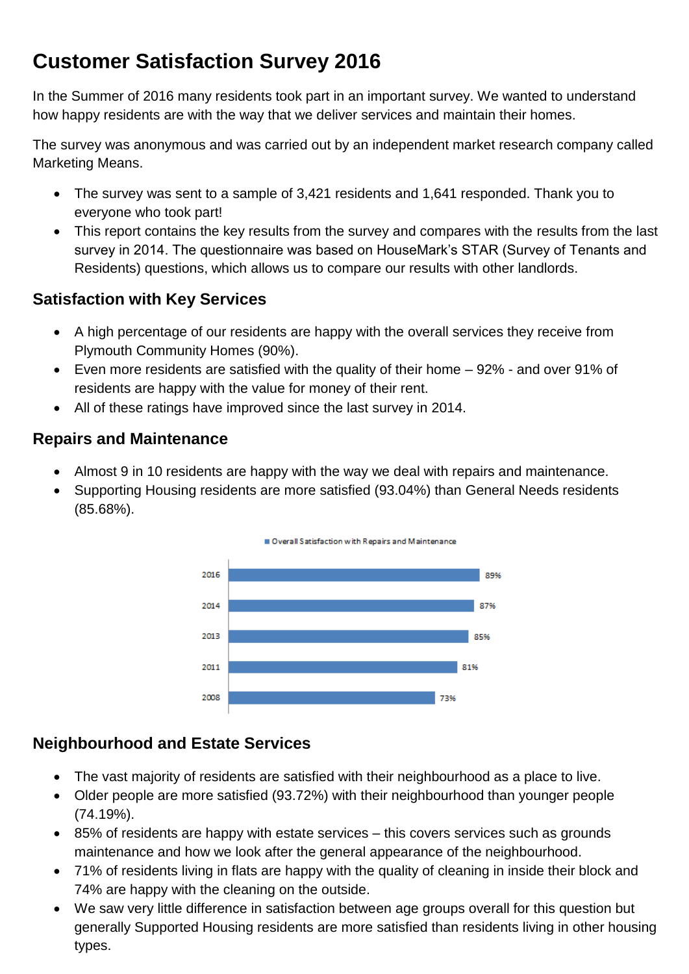# **Customer Satisfaction Survey 2016**

In the Summer of 2016 many residents took part in an important survey. We wanted to understand how happy residents are with the way that we deliver services and maintain their homes.

The survey was anonymous and was carried out by an independent market research company called Marketing Means.

- The survey was sent to a sample of 3,421 residents and 1,641 responded. Thank you to everyone who took part!
- This report contains the key results from the survey and compares with the results from the last survey in 2014. The questionnaire was based on HouseMark's STAR (Survey of Tenants and Residents) questions, which allows us to compare our results with other landlords.

## **Satisfaction with Key Services**

- A high percentage of our residents are happy with the overall services they receive from Plymouth Community Homes (90%).
- Even more residents are satisfied with the quality of their home 92% and over 91% of residents are happy with the value for money of their rent.
- All of these ratings have improved since the last survey in 2014.

### **Repairs and Maintenance**

- Almost 9 in 10 residents are happy with the way we deal with repairs and maintenance.
- Supporting Housing residents are more satisfied (93.04%) than General Needs residents (85.68%).



# **Neighbourhood and Estate Services**

- The vast majority of residents are satisfied with their neighbourhood as a place to live.
- Older people are more satisfied (93.72%) with their neighbourhood than younger people (74.19%).
- 85% of residents are happy with estate services this covers services such as grounds maintenance and how we look after the general appearance of the neighbourhood.
- 71% of residents living in flats are happy with the quality of cleaning in inside their block and 74% are happy with the cleaning on the outside.
- We saw very little difference in satisfaction between age groups overall for this question but generally Supported Housing residents are more satisfied than residents living in other housing types.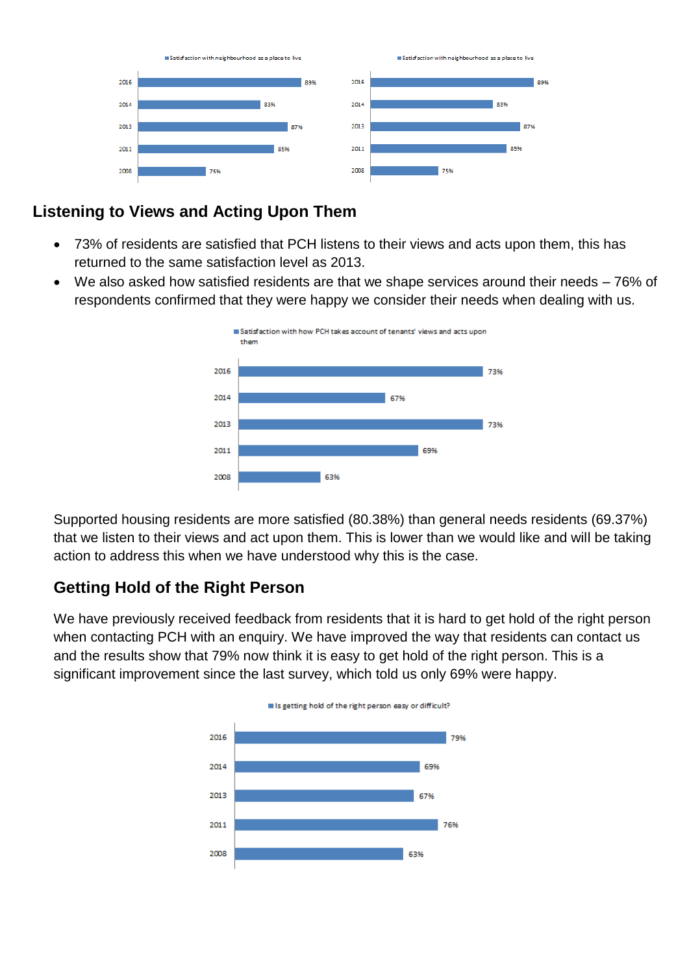

#### **Listening to Views and Acting Upon Them**

- 73% of residents are satisfied that PCH listens to their views and acts upon them, this has returned to the same satisfaction level as 2013.
- We also asked how satisfied residents are that we shape services around their needs 76% of respondents confirmed that they were happy we consider their needs when dealing with us.



Supported housing residents are more satisfied (80.38%) than general needs residents (69.37%) that we listen to their views and act upon them. This is lower than we would like and will be taking action to address this when we have understood why this is the case.

#### **Getting Hold of the Right Person**

We have previously received feedback from residents that it is hard to get hold of the right person when contacting PCH with an enquiry. We have improved the way that residents can contact us and the results show that 79% now think it is easy to get hold of the right person. This is a significant improvement since the last survey, which told us only 69% were happy.